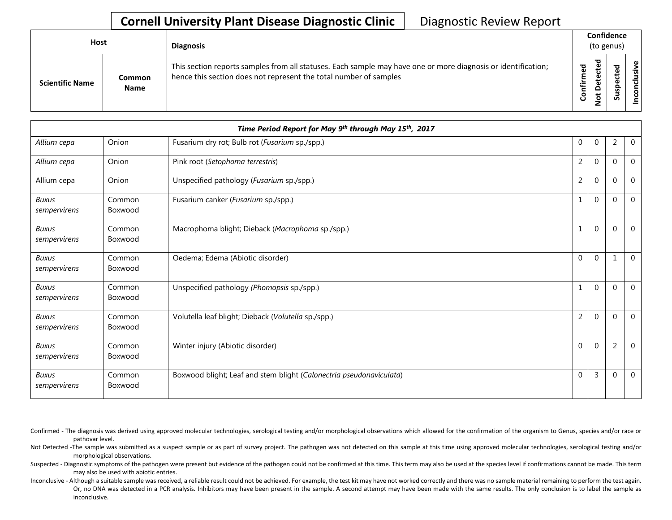## **Cornell University Plant Disease Diagnostic Clinic** | Diagnostic Review Report

| Host                   |                              | <b>Diagnosis</b>                                                                                                                                                                   |               | Confidence<br>(to genus) |                                 |                  |  |  |
|------------------------|------------------------------|------------------------------------------------------------------------------------------------------------------------------------------------------------------------------------|---------------|--------------------------|---------------------------------|------------------|--|--|
| <b>Scientific Name</b> | <b>Common</b><br><b>Name</b> | This section reports samples from all statuses. Each sample may have one or more diagnosis or identification;<br>hence this section does not represent the total number of samples | ဥ<br>Confirme | ᇃ<br>$\Omega$<br>ى       | ъ<br>ω<br>د<br>ω<br>௨<br>s<br>ä | usive<br>᠊ᠣ<br>۰ |  |  |

| Time Period Report for May 9th through May 15th, 2017 |                   |                                                                     |  |                |                |                |                |
|-------------------------------------------------------|-------------------|---------------------------------------------------------------------|--|----------------|----------------|----------------|----------------|
| Allium cepa                                           | Onion             | Fusarium dry rot; Bulb rot (Fusarium sp./spp.)                      |  | $\mathbf{0}$   | $\mathbf 0$    | 2              | $\overline{0}$ |
| Allium cepa                                           | Onion             | Pink root (Setophoma terrestris)                                    |  | $\overline{2}$ | $\mathbf{0}$   | $\Omega$       | $\overline{0}$ |
| Allium cepa                                           | Onion             | Unspecified pathology (Fusarium sp./spp.)                           |  | $\overline{2}$ | $\mathbf{0}$   | $\Omega$       | $\overline{0}$ |
| <b>Buxus</b><br>sempervirens                          | Common<br>Boxwood | Fusarium canker (Fusarium sp./spp.)                                 |  | 1              | $\mathbf{0}$   | $\Omega$       | $\overline{0}$ |
| <b>Buxus</b><br>sempervirens                          | Common<br>Boxwood | Macrophoma blight; Dieback (Macrophoma sp./spp.)                    |  | $\mathbf{1}$   | $\mathbf{0}$   | $\mathbf{0}$   | $\overline{0}$ |
| <b>Buxus</b><br>sempervirens                          | Common<br>Boxwood | Oedema; Edema (Abiotic disorder)                                    |  | $\Omega$       | $\mathbf{0}$   | $\mathbf{1}$   | $\overline{0}$ |
| <b>Buxus</b><br>sempervirens                          | Common<br>Boxwood | Unspecified pathology (Phomopsis sp./spp.)                          |  | $\mathbf{1}$   | $\mathbf{0}$   | $\Omega$       | $\overline{0}$ |
| <b>Buxus</b><br>sempervirens                          | Common<br>Boxwood | Volutella leaf blight; Dieback (Volutella sp./spp.)                 |  | $\overline{2}$ | $\mathbf{0}$   | $\mathbf{0}$   | $\overline{0}$ |
| <b>Buxus</b><br>sempervirens                          | Common<br>Boxwood | Winter injury (Abiotic disorder)                                    |  | $\Omega$       | $\mathbf{0}$   | $\overline{2}$ | $\overline{0}$ |
| <b>Buxus</b><br>sempervirens                          | Common<br>Boxwood | Boxwood blight; Leaf and stem blight (Calonectria pseudonaviculata) |  | $\Omega$       | $\overline{3}$ | $\Omega$       | $\overline{0}$ |

Confirmed - The diagnosis was derived using approved molecular technologies, serological testing and/or morphological observations which allowed for the confirmation of the organism to Genus, species and/or race or pathovar level.

Not Detected -The sample was submitted as a suspect sample or as part of survey project. The pathogen was not detected on this sample at this time using approved molecular technologies, serological testing and/or morphological observations.

Suspected - Diagnostic symptoms of the pathogen were present but evidence of the pathogen could not be confirmed at this time. This term may also be used at the species level if confirmations cannot be made. This term may also be used with abiotic entries.

Inconclusive - Although a suitable sample was received, a reliable result could not be achieved. For example, the test kit may have not worked correctly and there was no sample material remaining to perform the test again. Or, no DNA was detected in a PCR analysis. Inhibitors may have been present in the sample. A second attempt may have been made with the same results. The only conclusion is to label the sample as inconclusive.